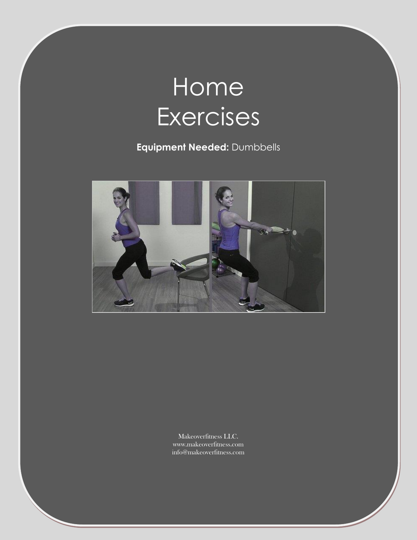# **Home Exercises**

**Equipment Needed:** Dumbbells



Makeoverfitness LLC. www.makeoverfitness.com info@makeoverfitness.com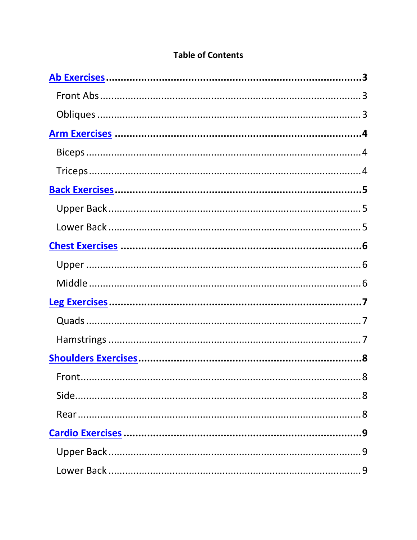### **Table of Contents**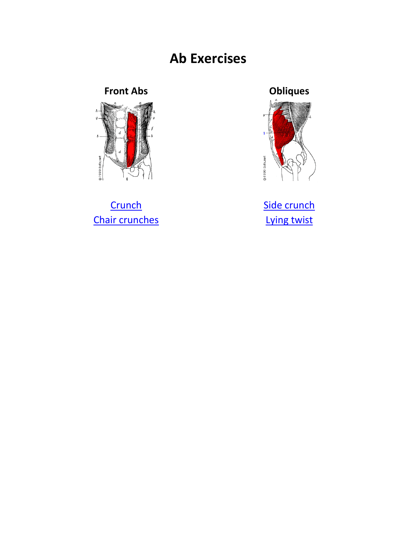# **Ab Exercises**

## **Front Abs**

<span id="page-2-0"></span>

Crunch **Chair crunches** 



Side crunch Lying twist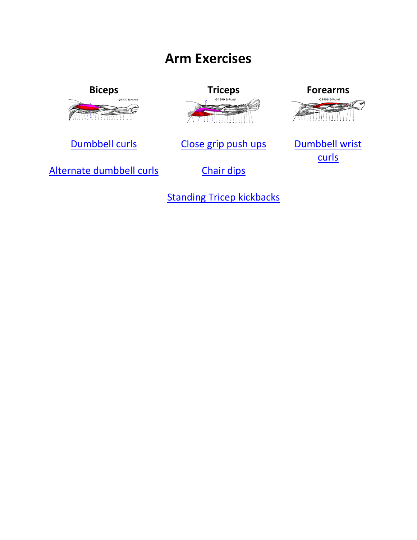# **Arm Exercises**

<span id="page-3-0"></span>



[Dumbbell curls](http://www.youtube.com/watch?v=z18j8yXgudw) [Close grip push ups](http://www.youtube.com/watch?v=8fzjL3RiS3I) Dumbbell wrist



[curls](http://www.youtube.com/watch?v=7ac_qmBjkFI)

[Alternate dumbbell curls](http://www.youtube.com/watch?v=5YIOEFnck7s) [Chair dips](http://www.youtube.com/watch?v=tKjcgfu44sI)

**[Standing Tricep kickbacks](http://www.youtube.com/watch?v=EJzCVgtnRSk)**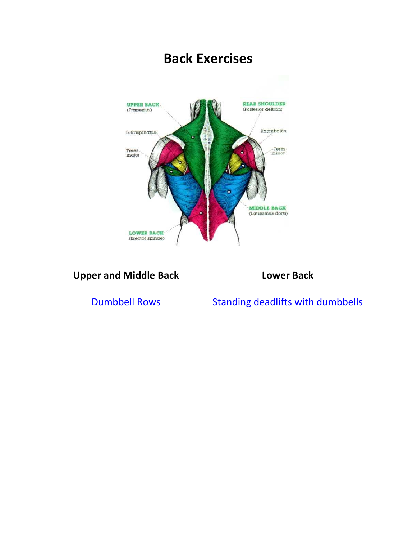<span id="page-4-0"></span>

**Upper and Middle Back Lower Back**

[Dumbbell Rows](http://www.youtube.com/watch?v=vTxoeWXbsW4) [Standing deadlifts with dumbbells](http://www.youtube.com/watch?v=lJ3QwaXNJfw)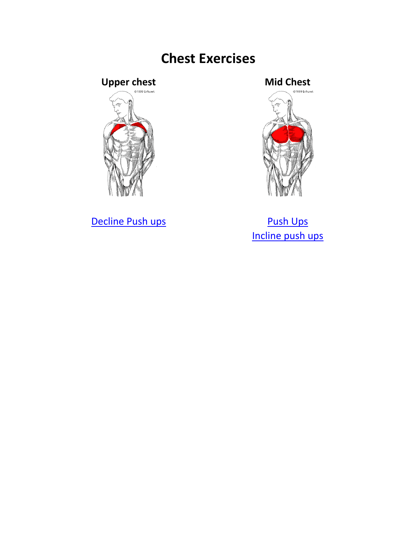# **Chest Exercises**

# <span id="page-5-0"></span>Upper chest **Mid Chest**



[Decline Push ups](http://www.youtube.com/watch?v=mKrao591LBU) **[Push Ups](http://www.youtube.com/watch?v=Eh00_rniF8E)** 



[Incline push ups](http://www.youtube.com/watch?v=wbZsQ8lk7Dw)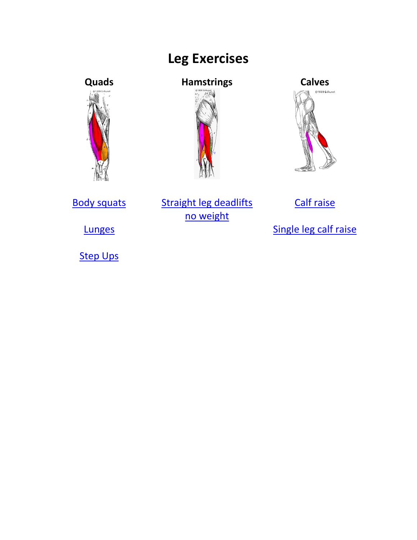# **Leg Exercises**

<span id="page-6-0"></span>



## **Quads Hamstrings Calves**





[Body squats](http://www.youtube.com/watch?v=p3g4wAsu0R4) Straight leg deadlifts [no weight](http://www.youtube.com/watch?v=3wjjcieMn9s)

[Calf raise](http://www.youtube.com/watch?v=ORT4oJ_R8Qs)

**[Step Ups](http://www.youtube.com/watch?v=UJFqg6-ms6U)** 

[Lunges](http://www.youtube.com/watch?v=HacUpgo8h80) **[Single leg calf raise](http://www.youtube.com/watch?v=Tla2ScHQgu0)**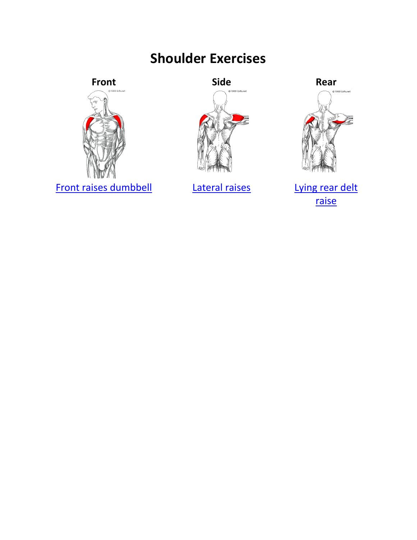# **Shoulder Exercises**



<span id="page-7-0"></span>





[Front raises dumbbell](http://www.youtube.com/watch?v=yTphpkybKuA) [Lateral raises](http://www.youtube.com/watch?v=axW4JQUOlFA) Lying rear delt [raise](http://www.youtube.com/watch?v=bxLhH73VgwA)